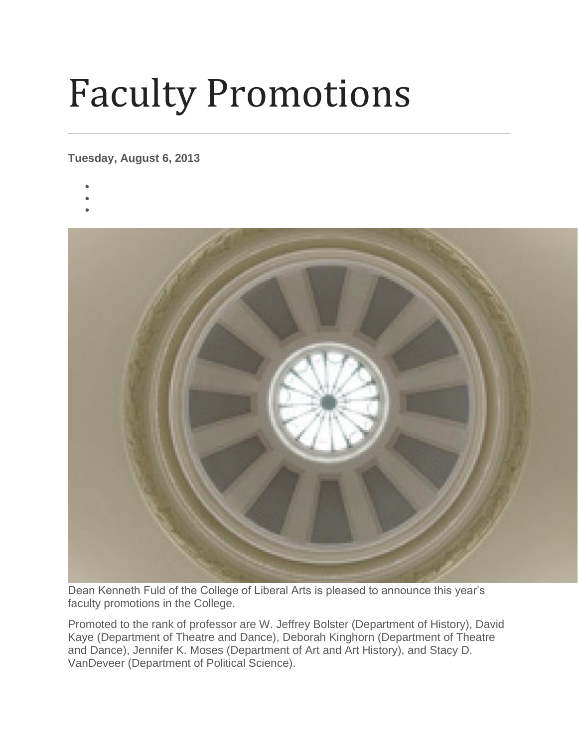## Faculty Promotions

## **Tuesday, August 6, 2013**

- •
- •
- •



Dean Kenneth Fuld of the College of Liberal Arts is pleased to announce this year's faculty promotions in the College.

Promoted to the rank of professor are W. Jeffrey Bolster (Department of History), David Kaye (Department of Theatre and Dance), Deborah Kinghorn (Department of Theatre and Dance), Jennifer K. Moses (Department of Art and Art History), and Stacy D. VanDeveer (Department of Political Science).